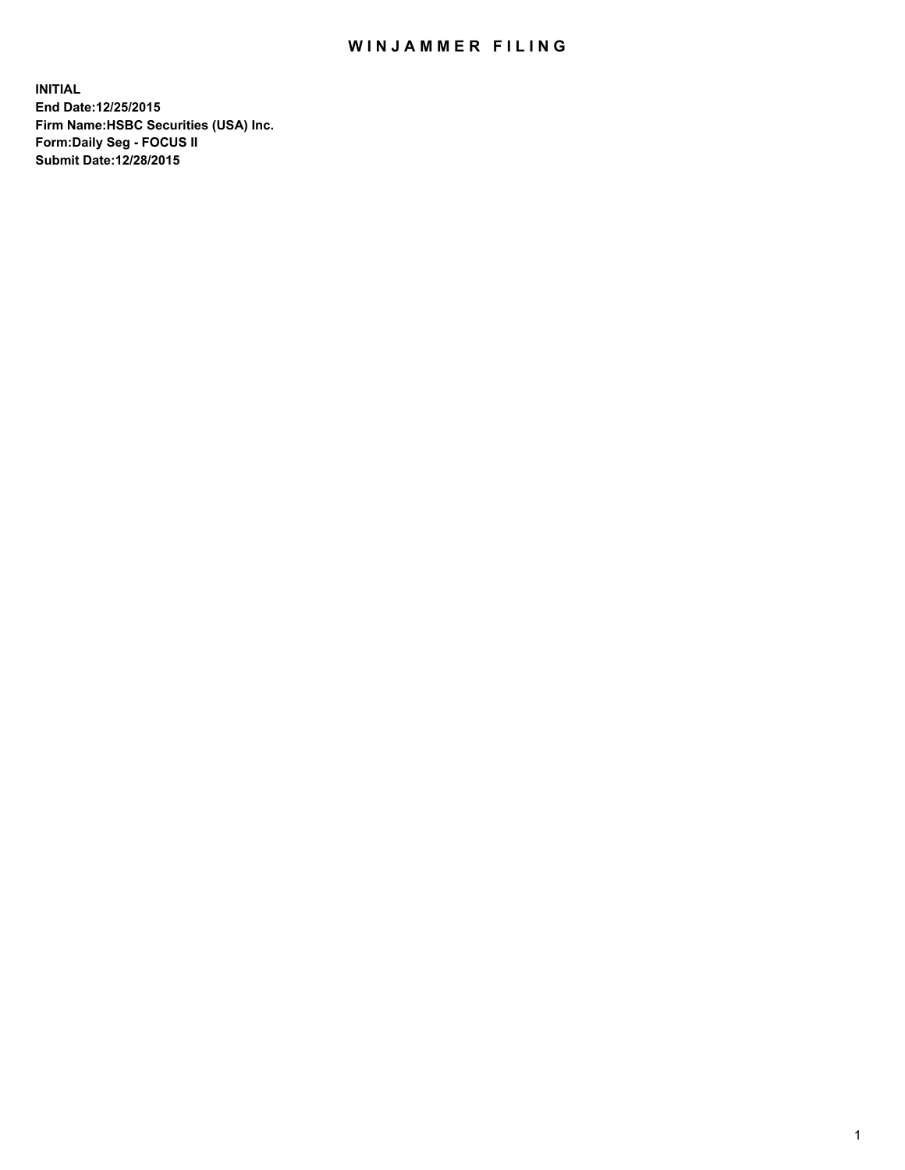## WIN JAMMER FILING

**INITIAL End Date:12/25/2015 Firm Name:HSBC Securities (USA) Inc. Form:Daily Seg - FOCUS II Submit Date:12/28/2015**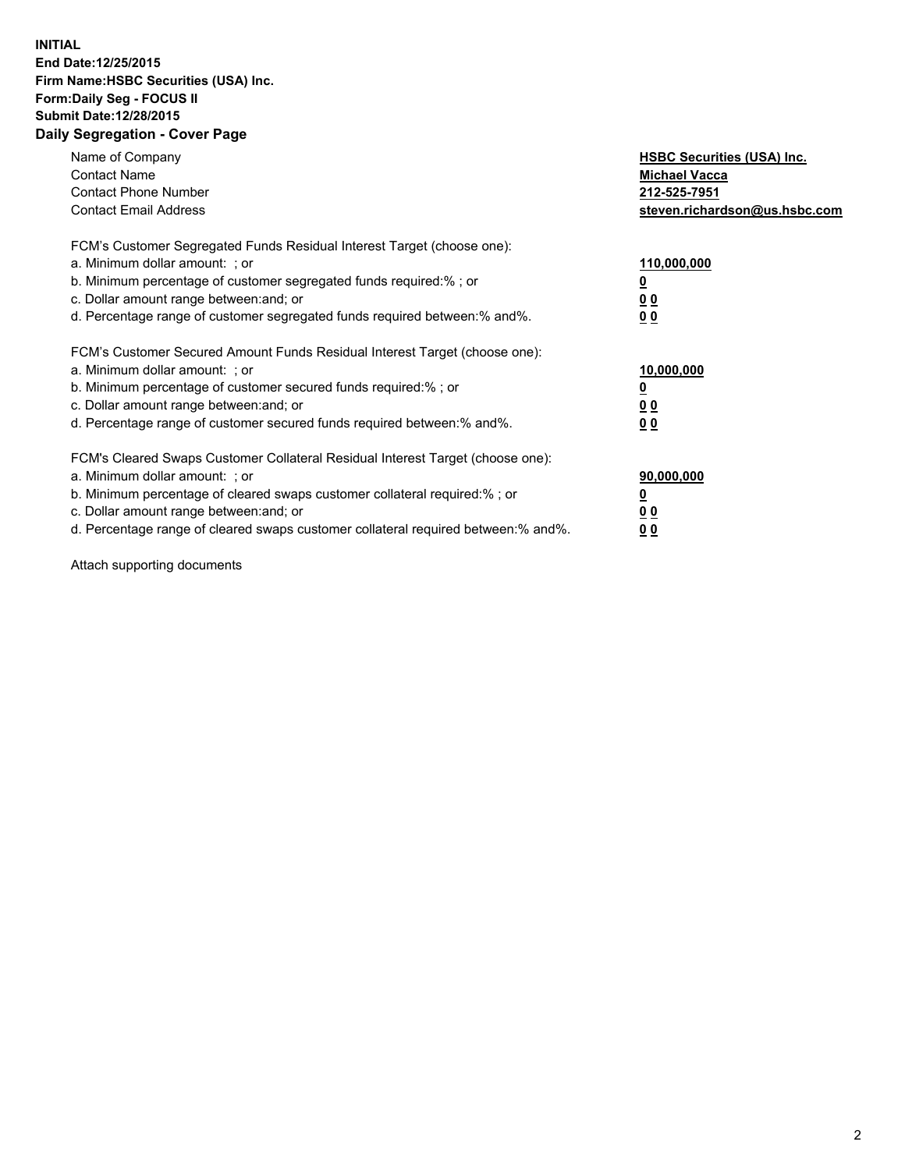## **INITIAL End Date:12/25/2015 Firm Name:HSBC Securities (USA) Inc. Form:Daily Seg - FOCUS II Submit Date:12/28/2015 Daily Segregation - Cover Page**

| Name of Company<br><b>Contact Name</b><br><b>Contact Phone Number</b><br><b>Contact Email Address</b>                                                                                                                                                                                                                         | <b>HSBC Securities (USA) Inc.</b><br><b>Michael Vacca</b><br>212-525-7951<br>steven.richardson@us.hsbc.com |
|-------------------------------------------------------------------------------------------------------------------------------------------------------------------------------------------------------------------------------------------------------------------------------------------------------------------------------|------------------------------------------------------------------------------------------------------------|
| FCM's Customer Segregated Funds Residual Interest Target (choose one):<br>a. Minimum dollar amount: ; or<br>b. Minimum percentage of customer segregated funds required:%; or<br>c. Dollar amount range between: and; or<br>d. Percentage range of customer segregated funds required between:% and%.                         | 110,000,000<br><u>0</u><br>0 <sub>0</sub><br>0 <sub>0</sub>                                                |
| FCM's Customer Secured Amount Funds Residual Interest Target (choose one):<br>a. Minimum dollar amount: ; or<br>b. Minimum percentage of customer secured funds required:%; or<br>c. Dollar amount range between: and; or<br>d. Percentage range of customer secured funds required between:% and%.                           | 10,000,000<br><u>0</u><br>0 <sub>0</sub><br>0 <sub>0</sub>                                                 |
| FCM's Cleared Swaps Customer Collateral Residual Interest Target (choose one):<br>a. Minimum dollar amount: ; or<br>b. Minimum percentage of cleared swaps customer collateral required:%; or<br>c. Dollar amount range between: and; or<br>d. Percentage range of cleared swaps customer collateral required between:% and%. | 90,000,000<br><u>0</u><br>0 <sub>0</sub><br>0 <sub>0</sub>                                                 |

Attach supporting documents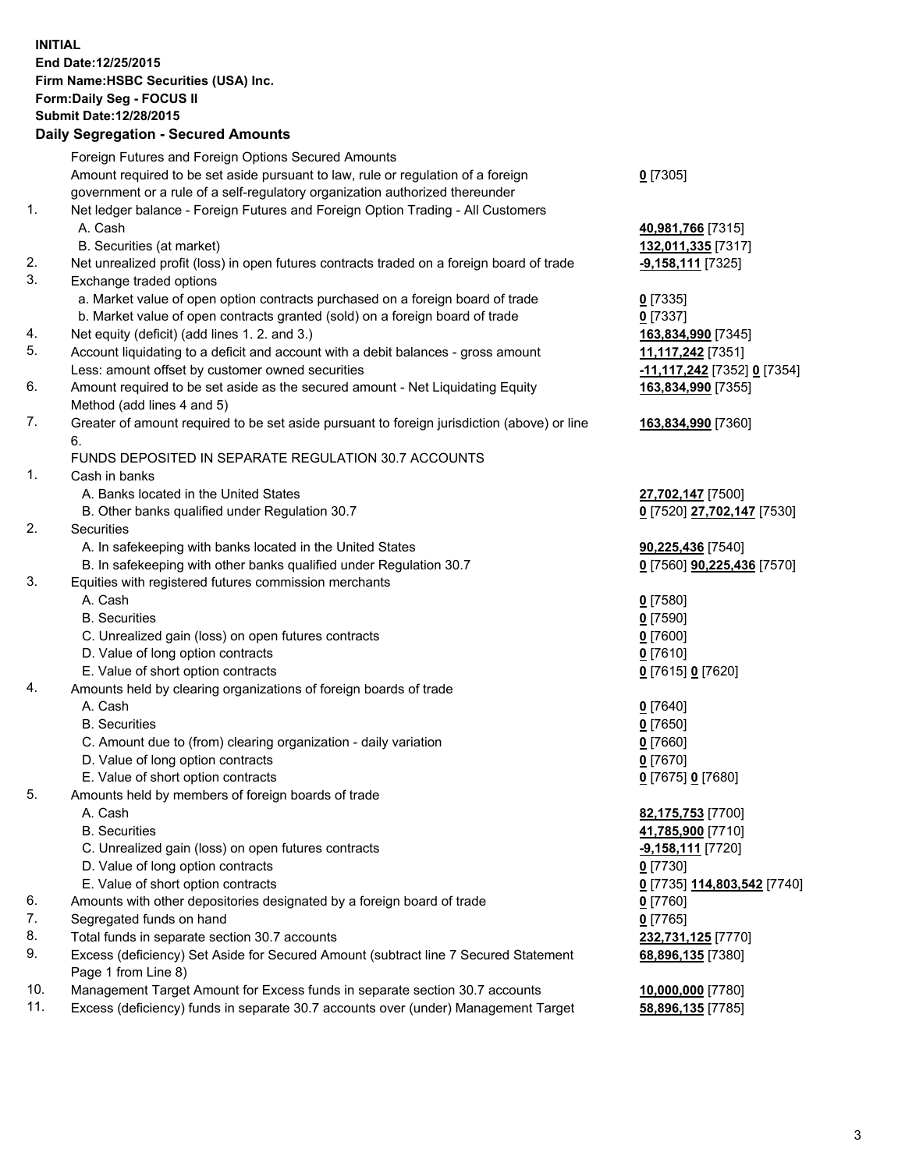**INITIAL End Date:12/25/2015 Firm Name:HSBC Securities (USA) Inc. Form:Daily Seg - FOCUS II Submit Date:12/28/2015**

## **Daily Segregation - Secured Amounts** Foreign Futures and Foreign Options Secured Amounts

|     | Foreign Futures and Foreign Options Secured Amounts                                         |                                           |
|-----|---------------------------------------------------------------------------------------------|-------------------------------------------|
|     | Amount required to be set aside pursuant to law, rule or regulation of a foreign            | $0$ [7305]                                |
|     | government or a rule of a self-regulatory organization authorized thereunder                |                                           |
| 1.  | Net ledger balance - Foreign Futures and Foreign Option Trading - All Customers             |                                           |
|     | A. Cash                                                                                     | 40,981,766 [7315]                         |
|     | B. Securities (at market)                                                                   | 132,011,335 [7317]                        |
| 2.  | Net unrealized profit (loss) in open futures contracts traded on a foreign board of trade   | <u>-9,158,111</u> [7325]                  |
| 3.  | Exchange traded options                                                                     |                                           |
|     | a. Market value of open option contracts purchased on a foreign board of trade              | $0$ [7335]                                |
|     |                                                                                             |                                           |
|     | b. Market value of open contracts granted (sold) on a foreign board of trade                | $0$ [7337]                                |
| 4.  | Net equity (deficit) (add lines 1. 2. and 3.)                                               | 163,834,990 [7345]                        |
| 5.  | Account liquidating to a deficit and account with a debit balances - gross amount           | 11,117,242 <sub>[7351]</sub>              |
|     | Less: amount offset by customer owned securities                                            | <u>-11,117,242</u> [7352] <u>0</u> [7354] |
| 6.  | Amount required to be set aside as the secured amount - Net Liquidating Equity              | 163,834,990 [7355]                        |
|     | Method (add lines 4 and 5)                                                                  |                                           |
| 7.  | Greater of amount required to be set aside pursuant to foreign jurisdiction (above) or line | 163,834,990 [7360]                        |
|     | 6.<br>FUNDS DEPOSITED IN SEPARATE REGULATION 30.7 ACCOUNTS                                  |                                           |
| 1.  | Cash in banks                                                                               |                                           |
|     | A. Banks located in the United States                                                       | 27,702,147 [7500]                         |
|     | B. Other banks qualified under Regulation 30.7                                              | 0 [7520] 27,702,147 [7530]                |
| 2.  | Securities                                                                                  |                                           |
|     | A. In safekeeping with banks located in the United States                                   | 90,225,436 [7540]                         |
|     | B. In safekeeping with other banks qualified under Regulation 30.7                          | 0 [7560] 90,225,436 [7570]                |
| 3.  | Equities with registered futures commission merchants                                       |                                           |
|     | A. Cash                                                                                     | $0$ [7580]                                |
|     | <b>B.</b> Securities                                                                        | $0$ [7590]                                |
|     | C. Unrealized gain (loss) on open futures contracts                                         | $0$ [7600]                                |
|     | D. Value of long option contracts                                                           | $0$ [7610]                                |
|     |                                                                                             |                                           |
|     | E. Value of short option contracts                                                          | 0 [7615] 0 [7620]                         |
| 4.  | Amounts held by clearing organizations of foreign boards of trade                           |                                           |
|     | A. Cash                                                                                     | $0$ [7640]                                |
|     | <b>B.</b> Securities                                                                        | <u>0</u> [7650]                           |
|     | C. Amount due to (from) clearing organization - daily variation                             | $0$ [7660]                                |
|     | D. Value of long option contracts                                                           | $0$ [7670]                                |
|     | E. Value of short option contracts                                                          | 0 [7675] 0 [7680]                         |
| 5.  | Amounts held by members of foreign boards of trade                                          |                                           |
|     | A. Cash                                                                                     | 82,175,753 [7700]                         |
|     | <b>B.</b> Securities                                                                        | 41,785,900 [7710]                         |
|     | C. Unrealized gain (loss) on open futures contracts                                         | -9,158,111 [7720]                         |
|     | D. Value of long option contracts                                                           | 0 [7730]                                  |
|     | E. Value of short option contracts                                                          | 0 [7735] 114,803,542 [7740]               |
| 6.  | Amounts with other depositories designated by a foreign board of trade                      | 0 [7760]                                  |
| 7.  | Segregated funds on hand                                                                    | 0 [7765]                                  |
| 8.  | Total funds in separate section 30.7 accounts                                               | 232,731,125 [7770]                        |
| 9.  | Excess (deficiency) Set Aside for Secured Amount (subtract line 7 Secured Statement         | 68,896,135 [7380]                         |
|     | Page 1 from Line 8)                                                                         |                                           |
| 10. | Management Target Amount for Excess funds in separate section 30.7 accounts                 | 10,000,000 [7780]                         |
| 11. | Excess (deficiency) funds in separate 30.7 accounts over (under) Management Target          | 58,896,135 [7785]                         |
|     |                                                                                             |                                           |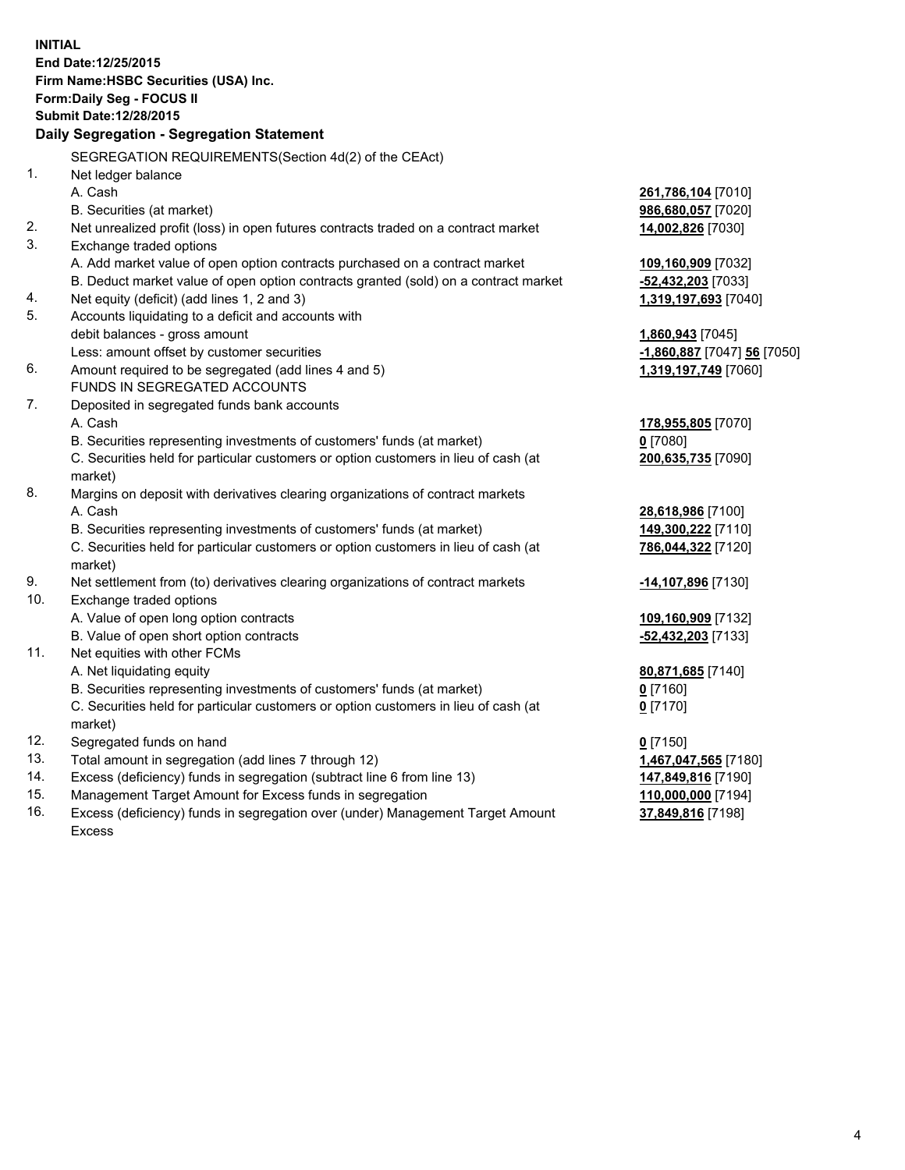|     | <b>INITIAL</b><br>End Date: 12/25/2015<br>Firm Name: HSBC Securities (USA) Inc.                |                             |
|-----|------------------------------------------------------------------------------------------------|-----------------------------|
|     | Form: Daily Seg - FOCUS II                                                                     |                             |
|     | <b>Submit Date: 12/28/2015</b>                                                                 |                             |
|     | Daily Segregation - Segregation Statement                                                      |                             |
|     | SEGREGATION REQUIREMENTS(Section 4d(2) of the CEAct)                                           |                             |
| 1.  | Net ledger balance                                                                             |                             |
|     | A. Cash                                                                                        | 261,786,104 [7010]          |
|     | B. Securities (at market)                                                                      | 986,680,057 [7020]          |
| 2.  | Net unrealized profit (loss) in open futures contracts traded on a contract market             | 14,002,826 [7030]           |
| 3.  | Exchange traded options                                                                        |                             |
|     | A. Add market value of open option contracts purchased on a contract market                    | 109,160,909 [7032]          |
|     | B. Deduct market value of open option contracts granted (sold) on a contract market            | -52,432,203 [7033]          |
| 4.  | Net equity (deficit) (add lines 1, 2 and 3)                                                    | 1,319,197,693 [7040]        |
| 5.  | Accounts liquidating to a deficit and accounts with                                            |                             |
|     | debit balances - gross amount                                                                  | 1,860,943 [7045]            |
|     | Less: amount offset by customer securities                                                     | -1,860,887 [7047] 56 [7050] |
| 6.  | Amount required to be segregated (add lines 4 and 5)                                           | 1,319,197,749 [7060]        |
|     | FUNDS IN SEGREGATED ACCOUNTS                                                                   |                             |
| 7.  | Deposited in segregated funds bank accounts                                                    |                             |
|     | A. Cash                                                                                        | 178,955,805 [7070]          |
|     | B. Securities representing investments of customers' funds (at market)                         | $0$ [7080]                  |
|     | C. Securities held for particular customers or option customers in lieu of cash (at            | 200,635,735 [7090]          |
|     | market)                                                                                        |                             |
| 8.  | Margins on deposit with derivatives clearing organizations of contract markets                 |                             |
|     | A. Cash                                                                                        | 28,618,986 [7100]           |
|     | B. Securities representing investments of customers' funds (at market)                         | 149,300,222 [7110]          |
|     | C. Securities held for particular customers or option customers in lieu of cash (at<br>market) | 786,044,322 [7120]          |
| 9.  | Net settlement from (to) derivatives clearing organizations of contract markets                | -14,107,896 [7130]          |
| 10. | Exchange traded options                                                                        |                             |
|     | A. Value of open long option contracts                                                         | 109,160,909 [7132]          |
|     | B. Value of open short option contracts                                                        | -52,432,203 [7133]          |
| 11. | Net equities with other FCMs                                                                   |                             |
|     | A. Net liquidating equity                                                                      | 80,871,685 [7140]           |
|     | B. Securities representing investments of customers' funds (at market)                         | $0$ [7160]                  |
|     | C. Securities held for particular customers or option customers in lieu of cash (at<br>market) | $0$ [7170]                  |
| 12. | Segregated funds on hand                                                                       | $0$ [7150]                  |
| 13. | Total amount in segregation (add lines 7 through 12)                                           | 1,467,047,565 [7180]        |
| 14. | Excess (deficiency) funds in segregation (subtract line 6 from line 13)                        | 147,849,816 [7190]          |
| 15. | Management Target Amount for Excess funds in segregation                                       | 110,000,000 [7194]          |
| 16. | Excess (deficiency) funds in segregation over (under) Management Target Amount                 | 37,849,816 [7198]           |

16. Excess (deficiency) funds in segregation over (under) Management Target Amount Excess